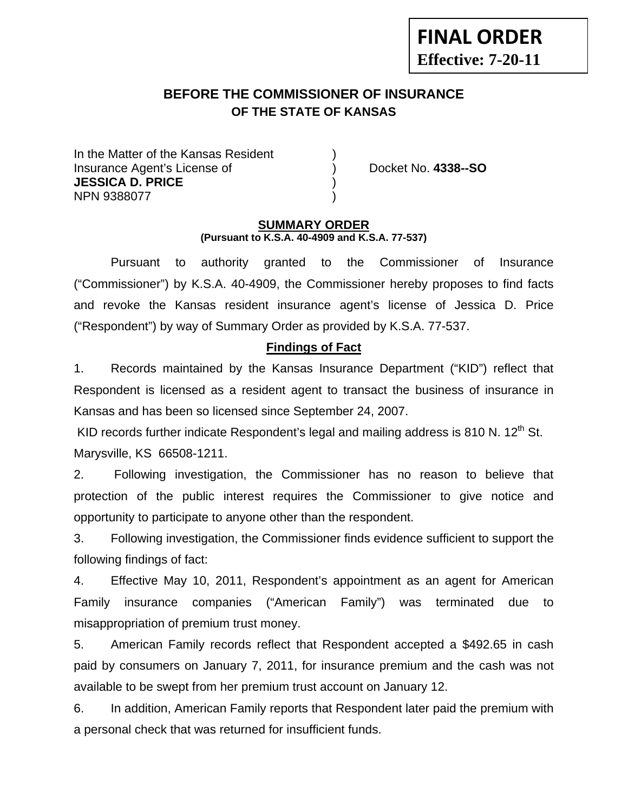# **BEFORE THE COMMISSIONER OF INSURANCE OF THE STATE OF KANSAS**

In the Matter of the Kansas Resident Insurance Agent's License of ) Docket No. **4338--SO JESSICA D. PRICE** ) NPN 9388077 )

**FINAL ORDER**

**Effective: 7-20-11** 

#### **SUMMARY ORDER (Pursuant to K.S.A. 40-4909 and K.S.A. 77-537)**

 Pursuant to authority granted to the Commissioner of Insurance ("Commissioner") by K.S.A. 40-4909, the Commissioner hereby proposes to find facts and revoke the Kansas resident insurance agent's license of Jessica D. Price ("Respondent") by way of Summary Order as provided by K.S.A. 77-537.

### **Findings of Fact**

1. Records maintained by the Kansas Insurance Department ("KID") reflect that Respondent is licensed as a resident agent to transact the business of insurance in Kansas and has been so licensed since September 24, 2007.

KID records further indicate Respondent's legal and mailing address is 810 N.  $12<sup>th</sup>$  St. Marysville, KS 66508-1211.

2. Following investigation, the Commissioner has no reason to believe that protection of the public interest requires the Commissioner to give notice and opportunity to participate to anyone other than the respondent.

3. Following investigation, the Commissioner finds evidence sufficient to support the following findings of fact:

4. Effective May 10, 2011, Respondent's appointment as an agent for American Family insurance companies ("American Family") was terminated due to misappropriation of premium trust money.

5. American Family records reflect that Respondent accepted a \$492.65 in cash paid by consumers on January 7, 2011, for insurance premium and the cash was not available to be swept from her premium trust account on January 12.

6. In addition, American Family reports that Respondent later paid the premium with a personal check that was returned for insufficient funds.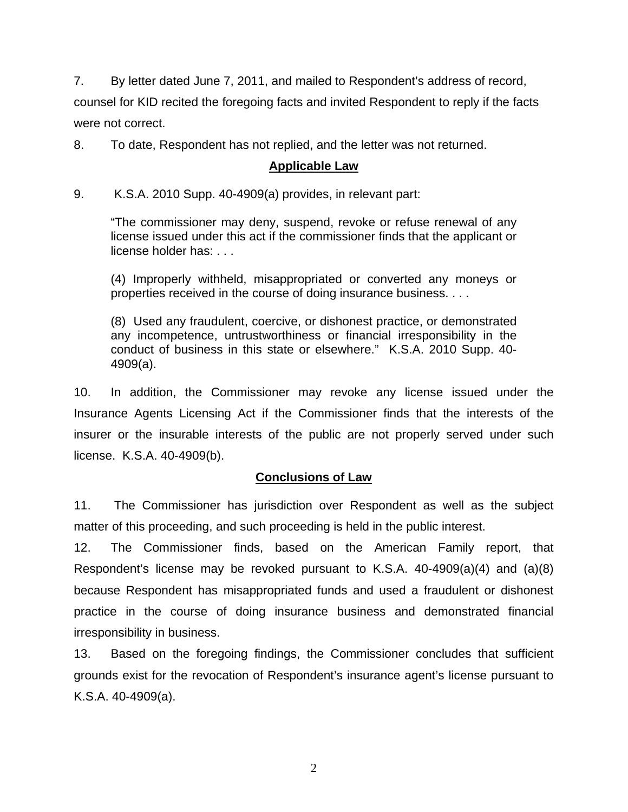7. By letter dated June 7, 2011, and mailed to Respondent's address of record, counsel for KID recited the foregoing facts and invited Respondent to reply if the facts were not correct.

8. To date, Respondent has not replied, and the letter was not returned.

# **Applicable Law**

9. K.S.A. 2010 Supp. 40-4909(a) provides, in relevant part:

"The commissioner may deny, suspend, revoke or refuse renewal of any license issued under this act if the commissioner finds that the applicant or license holder has: . . .

(4) Improperly withheld, misappropriated or converted any moneys or properties received in the course of doing insurance business. . . .

(8) Used any fraudulent, coercive, or dishonest practice, or demonstrated any incompetence, untrustworthiness or financial irresponsibility in the conduct of business in this state or elsewhere." K.S.A. 2010 Supp. 40- 4909(a).

10. In addition, the Commissioner may revoke any license issued under the Insurance Agents Licensing Act if the Commissioner finds that the interests of the insurer or the insurable interests of the public are not properly served under such license. K.S.A. 40-4909(b).

# **Conclusions of Law**

11. The Commissioner has jurisdiction over Respondent as well as the subject matter of this proceeding, and such proceeding is held in the public interest.

12. The Commissioner finds, based on the American Family report, that Respondent's license may be revoked pursuant to K.S.A. 40-4909(a)(4) and (a)(8) because Respondent has misappropriated funds and used a fraudulent or dishonest practice in the course of doing insurance business and demonstrated financial irresponsibility in business.

13. Based on the foregoing findings, the Commissioner concludes that sufficient grounds exist for the revocation of Respondent's insurance agent's license pursuant to K.S.A. 40-4909(a).

2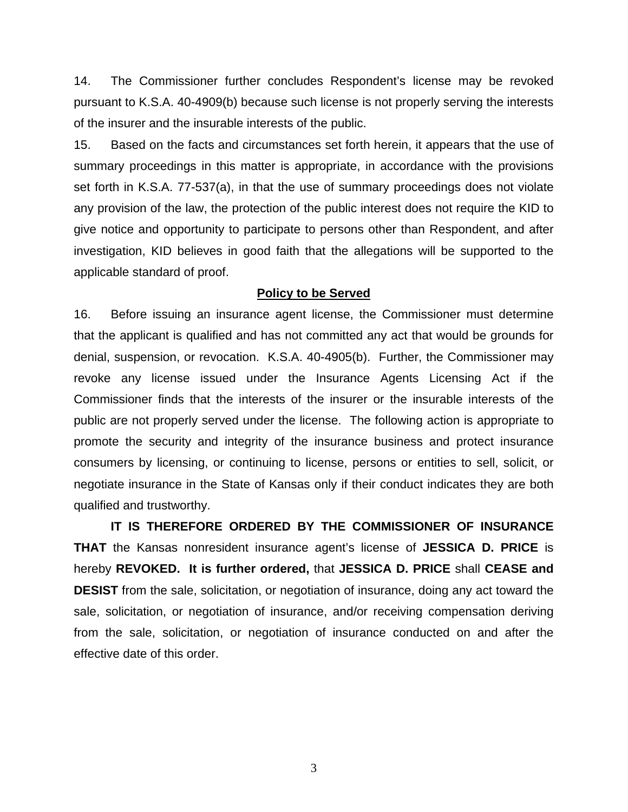14. The Commissioner further concludes Respondent's license may be revoked pursuant to K.S.A. 40-4909(b) because such license is not properly serving the interests of the insurer and the insurable interests of the public.

15. Based on the facts and circumstances set forth herein, it appears that the use of summary proceedings in this matter is appropriate, in accordance with the provisions set forth in K.S.A. 77-537(a), in that the use of summary proceedings does not violate any provision of the law, the protection of the public interest does not require the KID to give notice and opportunity to participate to persons other than Respondent, and after investigation, KID believes in good faith that the allegations will be supported to the applicable standard of proof.

#### **Policy to be Served**

16. Before issuing an insurance agent license, the Commissioner must determine that the applicant is qualified and has not committed any act that would be grounds for denial, suspension, or revocation. K.S.A. 40-4905(b). Further, the Commissioner may revoke any license issued under the Insurance Agents Licensing Act if the Commissioner finds that the interests of the insurer or the insurable interests of the public are not properly served under the license. The following action is appropriate to promote the security and integrity of the insurance business and protect insurance consumers by licensing, or continuing to license, persons or entities to sell, solicit, or negotiate insurance in the State of Kansas only if their conduct indicates they are both qualified and trustworthy.

 **IT IS THEREFORE ORDERED BY THE COMMISSIONER OF INSURANCE THAT** the Kansas nonresident insurance agent's license of **JESSICA D. PRICE** is hereby **REVOKED. It is further ordered,** that **JESSICA D. PRICE** shall **CEASE and DESIST** from the sale, solicitation, or negotiation of insurance, doing any act toward the sale, solicitation, or negotiation of insurance, and/or receiving compensation deriving from the sale, solicitation, or negotiation of insurance conducted on and after the effective date of this order.

3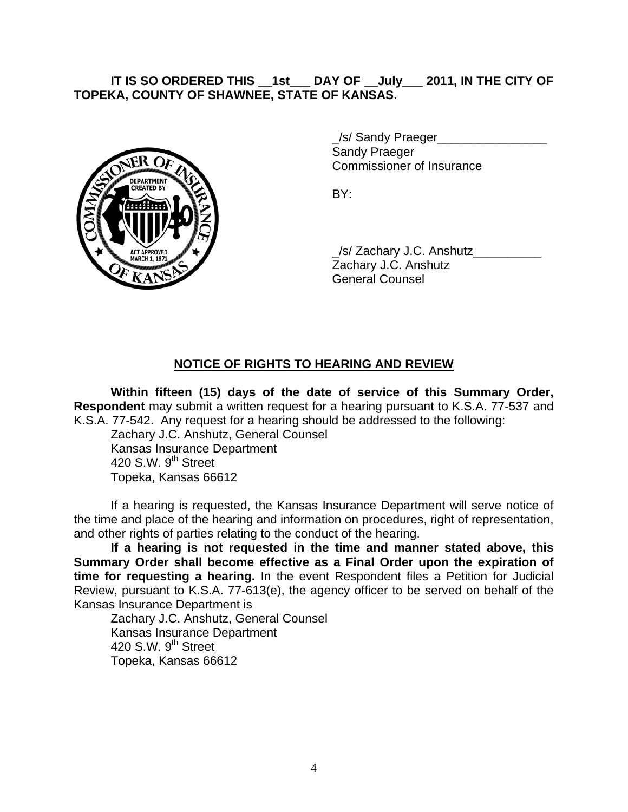## **IT IS SO ORDERED THIS \_\_1st\_\_\_ DAY OF \_\_July\_\_\_ 2011, IN THE CITY OF TOPEKA, COUNTY OF SHAWNEE, STATE OF KANSAS.**



/s/ Sandy Praeger Sandy Praeger Commissioner of Insurance

 \_/s/ Zachary J.C. Anshutz\_\_\_\_\_\_\_\_\_\_ Zachary J.C. Anshutz General Counsel

## **NOTICE OF RIGHTS TO HEARING AND REVIEW**

**Within fifteen (15) days of the date of service of this Summary Order, Respondent** may submit a written request for a hearing pursuant to K.S.A. 77-537 and K.S.A. 77-542. Any request for a hearing should be addressed to the following:

 Zachary J.C. Anshutz, General Counsel Kansas Insurance Department 420 S.W.  $9<sup>th</sup>$  Street Topeka, Kansas 66612

If a hearing is requested, the Kansas Insurance Department will serve notice of the time and place of the hearing and information on procedures, right of representation, and other rights of parties relating to the conduct of the hearing.

**If a hearing is not requested in the time and manner stated above, this Summary Order shall become effective as a Final Order upon the expiration of time for requesting a hearing.** In the event Respondent files a Petition for Judicial Review, pursuant to K.S.A. 77-613(e), the agency officer to be served on behalf of the Kansas Insurance Department is

 Zachary J.C. Anshutz, General Counsel Kansas Insurance Department 420 S.W.  $9<sup>th</sup>$  Street Topeka, Kansas 66612